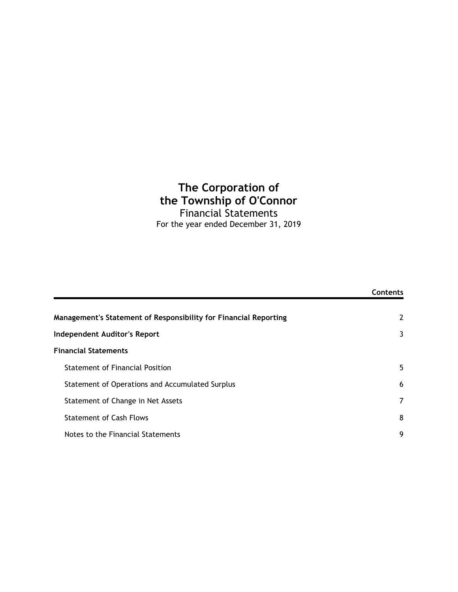# **The Corporation of the Township of O'Connor** Financial Statements For the year ended December 31, 2019

|                                                                  | <b>Contents</b> |
|------------------------------------------------------------------|-----------------|
| Management's Statement of Responsibility for Financial Reporting | 2               |
| Independent Auditor's Report                                     | 3               |
| <b>Financial Statements</b>                                      |                 |
| <b>Statement of Financial Position</b>                           | 5               |
| Statement of Operations and Accumulated Surplus                  | 6               |
| Statement of Change in Net Assets                                | 7               |
| <b>Statement of Cash Flows</b>                                   | 8               |
| Notes to the Financial Statements                                | 9               |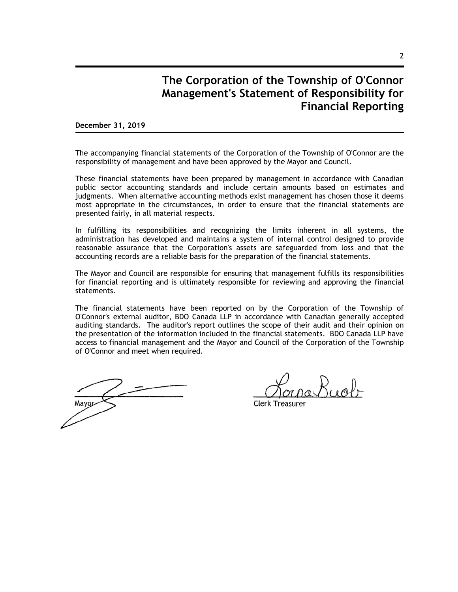# **The Corporation of the Township of O'Connor Management's Statement of Responsibility for Financial Reporting**

**December 31, 2019**

The accompanying financial statements of the Corporation of the Township of O'Connor are the responsibility of management and have been approved by the Mayor and Council.

These financial statements have been prepared by management in accordance with Canadian public sector accounting standards and include certain amounts based on estimates and judgments. When alternative accounting methods exist management has chosen those it deems most appropriate in the circumstances, in order to ensure that the financial statements are presented fairly, in all material respects.

In fulfilling its responsibilities and recognizing the limits inherent in all systems, the administration has developed and maintains a system of internal control designed to provide reasonable assurance that the Corporation's assets are safeguarded from loss and that the accounting records are a reliable basis for the preparation of the financial statements.

The Mayor and Council are responsible for ensuring that management fulfills its responsibilities for financial reporting and is ultimately responsible for reviewing and approving the financial statements.

The financial statements have been reported on by the Corporation of the Township of O'Connor's external auditor, BDO Canada LLP in accordance with Canadian generally accepted auditing standards. The auditor's report outlines the scope of their audit and their opinion on the presentation of the information included in the financial statements. BDO Canada LLP have access to financial management and the Mayor and Council of the Corporation of the Township of O'Connor and meet when required.

Mayor Clerk Treasurer

aPuob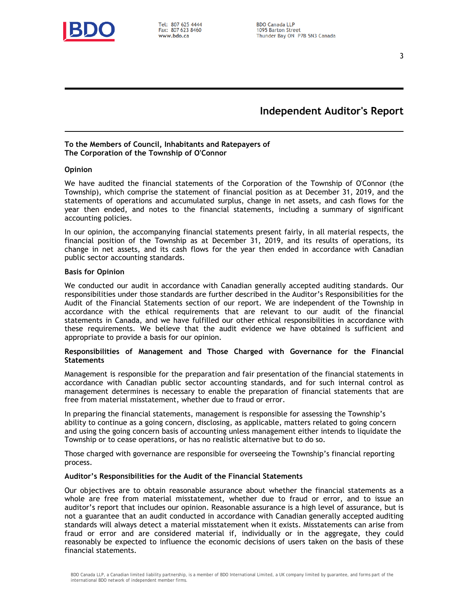

# **Independent Auditor's Report**

### **To the Members of Council, Inhabitants and Ratepayers of The Corporation of the Township of O'Connor**

### **Opinion**

We have audited the financial statements of the Corporation of the Township of O'Connor (the Township), which comprise the statement of financial position as at December 31, 2019, and the statements of operations and accumulated surplus, change in net assets, and cash flows for the year then ended, and notes to the financial statements, including a summary of significant accounting policies.

In our opinion, the accompanying financial statements present fairly, in all material respects, the financial position of the Township as at December 31, 2019, and its results of operations, its change in net assets, and its cash flows for the year then ended in accordance with Canadian public sector accounting standards.

### **Basis for Opinion**

We conducted our audit in accordance with Canadian generally accepted auditing standards. Our responsibilities under those standards are further described in the Auditor's Responsibilities for the Audit of the Financial Statements section of our report. We are independent of the Township in accordance with the ethical requirements that are relevant to our audit of the financial statements in Canada, and we have fulfilled our other ethical responsibilities in accordance with these requirements. We believe that the audit evidence we have obtained is sufficient and appropriate to provide a basis for our opinion.

### **Responsibilities of Management and Those Charged with Governance for the Financial Statements**

Management is responsible for the preparation and fair presentation of the financial statements in accordance with Canadian public sector accounting standards, and for such internal control as management determines is necessary to enable the preparation of financial statements that are free from material misstatement, whether due to fraud or error.

In preparing the financial statements, management is responsible for assessing the Township's ability to continue as a going concern, disclosing, as applicable, matters related to going concern and using the going concern basis of accounting unless management either intends to liquidate the Township or to cease operations, or has no realistic alternative but to do so.

Those charged with governance are responsible for overseeing the Township's financial reporting process.

### **Auditor's Responsibilities for the Audit of the Financial Statements**

Our objectives are to obtain reasonable assurance about whether the financial statements as a whole are free from material misstatement, whether due to fraud or error, and to issue an auditor's report that includes our opinion. Reasonable assurance is a high level of assurance, but is not a guarantee that an audit conducted in accordance with Canadian generally accepted auditing standards will always detect a material misstatement when it exists. Misstatements can arise from fraud or error and are considered material if, individually or in the aggregate, they could reasonably be expected to influence the economic decisions of users taken on the basis of these financial statements.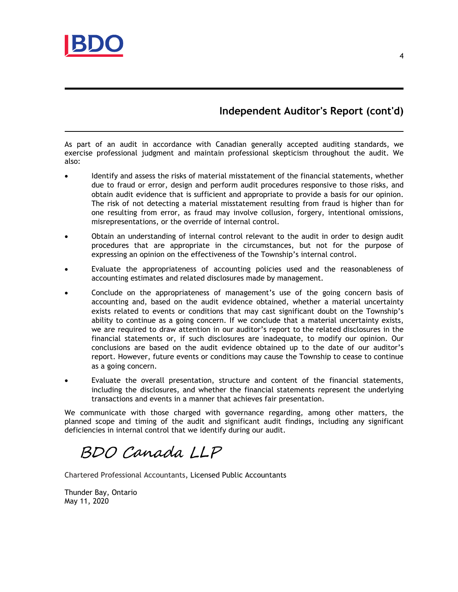

## **Independent Auditor's Report (cont'd)**

As part of an audit in accordance with Canadian generally accepted auditing standards, we exercise professional judgment and maintain professional skepticism throughout the audit. We also:

- Identify and assess the risks of material misstatement of the financial statements, whether due to fraud or error, design and perform audit procedures responsive to those risks, and obtain audit evidence that is sufficient and appropriate to provide a basis for our opinion. The risk of not detecting a material misstatement resulting from fraud is higher than for one resulting from error, as fraud may involve collusion, forgery, intentional omissions, misrepresentations, or the override of internal control.
- Obtain an understanding of internal control relevant to the audit in order to design audit procedures that are appropriate in the circumstances, but not for the purpose of expressing an opinion on the effectiveness of the Township's internal control.
- Evaluate the appropriateness of accounting policies used and the reasonableness of accounting estimates and related disclosures made by management.
- Conclude on the appropriateness of management's use of the going concern basis of accounting and, based on the audit evidence obtained, whether a material uncertainty exists related to events or conditions that may cast significant doubt on the Township's ability to continue as a going concern. If we conclude that a material uncertainty exists, we are required to draw attention in our auditor's report to the related disclosures in the financial statements or, if such disclosures are inadequate, to modify our opinion. Our conclusions are based on the audit evidence obtained up to the date of our auditor's report. However, future events or conditions may cause the Township to cease to continue as a going concern.
- Evaluate the overall presentation, structure and content of the financial statements, including the disclosures, and whether the financial statements represent the underlying transactions and events in a manner that achieves fair presentation.

We communicate with those charged with governance regarding, among other matters, the planned scope and timing of the audit and significant audit findings, including any significant deficiencies in internal control that we identify during our audit.

BDO Canada LLP

Chartered Professional Accountants, Licensed Public Accountants

Thunder Bay, Ontario May 11, 2020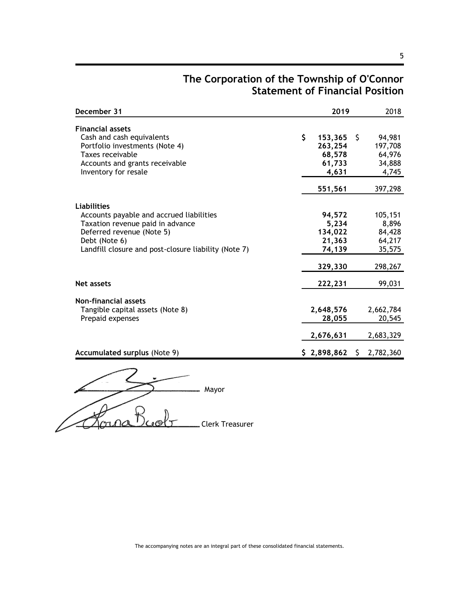| December 31                                                                                                                                                                                              | 2019                                                      |     | 2018                                                      |
|----------------------------------------------------------------------------------------------------------------------------------------------------------------------------------------------------------|-----------------------------------------------------------|-----|-----------------------------------------------------------|
| <b>Financial assets</b><br>Cash and cash equivalents<br>Portfolio investments (Note 4)<br>Taxes receivable<br>Accounts and grants receivable<br>Inventory for resale                                     | \$<br>153,365<br>263,254<br>68,578<br>61,733<br>4,631     | - S | 94,981<br>197,708<br>64,976<br>34,888<br>4,745            |
|                                                                                                                                                                                                          | 551,561                                                   |     | 397,298                                                   |
| <b>Liabilities</b><br>Accounts payable and accrued liabilities<br>Taxation revenue paid in advance<br>Deferred revenue (Note 5)<br>Debt (Note 6)<br>Landfill closure and post-closure liability (Note 7) | 94,572<br>5,234<br>134,022<br>21,363<br>74,139<br>329,330 |     | 105,151<br>8,896<br>84,428<br>64,217<br>35,575<br>298,267 |
| <b>Net assets</b>                                                                                                                                                                                        | 222,231                                                   |     | 99,031                                                    |
| Non-financial assets<br>Tangible capital assets (Note 8)<br>Prepaid expenses                                                                                                                             | 2,648,576<br>28,055<br>2,676,631                          |     | 2,662,784<br>20,545<br>2,683,329                          |
| Accumulated surplus (Note 9)                                                                                                                                                                             | \$2,898,862                                               | S.  | 2,782,360                                                 |
|                                                                                                                                                                                                          |                                                           |     |                                                           |

# **The Corporation of the Township of O'Connor Statement of Financial Position**

- Mayor Horna Bud Clerk Treasurer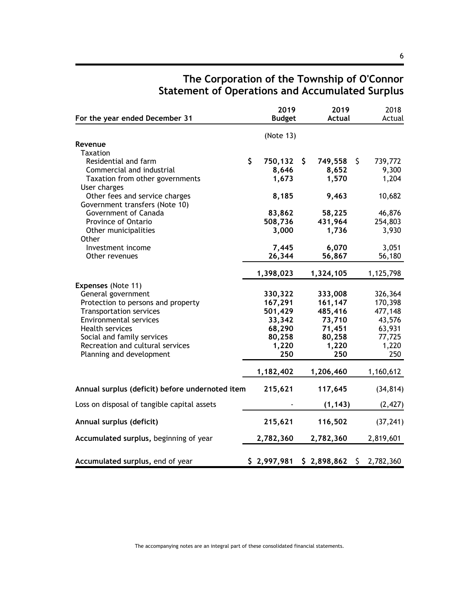| For the year ended December 31                  |    | 2019<br><b>Budget</b> | 2019<br><b>Actual</b> | 2018<br>Actual  |
|-------------------------------------------------|----|-----------------------|-----------------------|-----------------|
|                                                 |    | (Note 13)             |                       |                 |
| Revenue                                         |    |                       |                       |                 |
| <b>Taxation</b>                                 |    |                       |                       |                 |
| Residential and farm                            | \$ | 750,132               | \$<br>749,558         | \$<br>739,772   |
| Commercial and industrial                       |    | 8,646                 | 8,652                 | 9,300           |
| Taxation from other governments                 |    | 1,673                 | 1,570                 | 1,204           |
| User charges                                    |    |                       |                       |                 |
| Other fees and service charges                  |    | 8,185                 | 9,463                 | 10,682          |
| Government transfers (Note 10)                  |    |                       |                       |                 |
| Government of Canada                            |    | 83,862                | 58,225                | 46,876          |
| Province of Ontario                             |    | 508,736               | 431,964               | 254,803         |
| Other municipalities                            |    | 3,000                 | 1,736                 | 3,930           |
| Other                                           |    |                       |                       |                 |
| Investment income                               |    | 7,445                 | 6,070                 | 3,051           |
| Other revenues                                  |    | 26,344                | 56,867                | 56,180          |
|                                                 |    | 1,398,023             | 1,324,105             | 1,125,798       |
| Expenses (Note 11)                              |    |                       |                       |                 |
| General government                              |    | 330,322               | 333,008               | 326,364         |
| Protection to persons and property              |    | 167,291               | 161,147               | 170,398         |
| <b>Transportation services</b>                  |    | 501,429               | 485,416               | 477,148         |
| <b>Environmental services</b>                   |    | 33,342                | 73,710                | 43,576          |
| Health services                                 |    | 68,290                | 71,451                | 63,931          |
| Social and family services                      |    | 80,258                | 80,258                | 77,725          |
| Recreation and cultural services                |    | 1,220                 | 1,220                 | 1,220           |
| Planning and development                        |    | 250                   | 250                   | 250             |
|                                                 |    | 1,182,402             | 1,206,460             | 1,160,612       |
|                                                 |    |                       |                       |                 |
| Annual surplus (deficit) before undernoted item |    | 215,621               | 117,645               | (34, 814)       |
| Loss on disposal of tangible capital assets     |    |                       | (1, 143)              | (2, 427)        |
| Annual surplus (deficit)                        |    | 215,621               | 116,502               | (37, 241)       |
| Accumulated surplus, beginning of year          |    | 2,782,360             | 2,782,360             | 2,819,601       |
| Accumulated surplus, end of year                |    | \$2,997,981           | \$2,898,862           | \$<br>2,782,360 |

# **The Corporation of the Township of O'Connor Statement of Operations and Accumulated Surplus**

The accompanying notes are an integral part of these consolidated financial statements.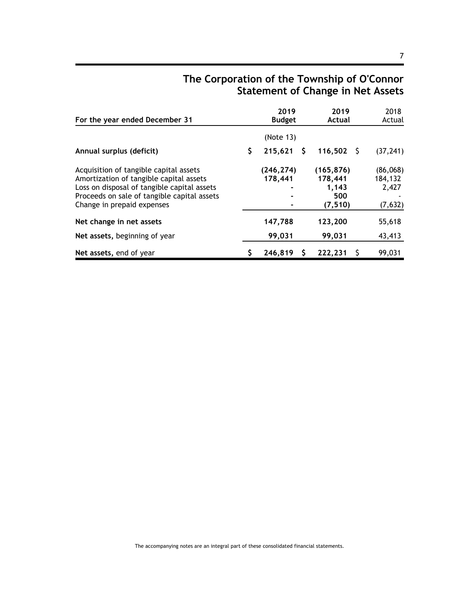# **The Corporation of the Township of O'Connor Statement of Change in Net Assets**

| For the year ended December 31                                                             |    | 2019<br><b>Budget</b> | 2019<br>Actual        | 2018<br>Actual      |
|--------------------------------------------------------------------------------------------|----|-----------------------|-----------------------|---------------------|
|                                                                                            |    | (Note 13)             |                       |                     |
| Annual surplus (deficit)                                                                   | \$ | 215,621<br><b>S</b>   | $116,502$ \$          | (37, 241)           |
| Acquisition of tangible capital assets<br>Amortization of tangible capital assets          |    | (246,274)<br>178,441  | (165, 876)<br>178,441 | (86,068)<br>184,132 |
| Loss on disposal of tangible capital assets<br>Proceeds on sale of tangible capital assets |    |                       | 1,143<br>500          | 2,427               |
| Change in prepaid expenses                                                                 |    |                       | (7, 510)              | (7,632)             |
| Net change in net assets                                                                   |    | 147,788               | 123,200               | 55,618              |
| Net assets, beginning of year                                                              |    | 99,031                | 99,031                | 43,413              |
| Net assets, end of year                                                                    | S  | 246,819<br>S          | 222,231<br>-S         | 99,031              |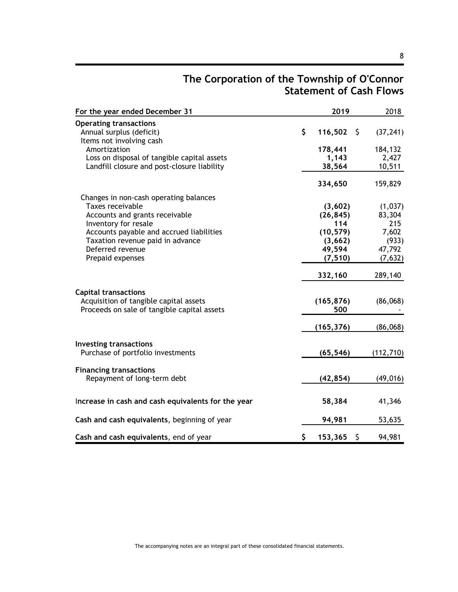| For the year ended December 31                                                        | 2019                     | 2018       |
|---------------------------------------------------------------------------------------|--------------------------|------------|
| <b>Operating transactions</b><br>Annual surplus (deficit)                             | \$<br>116,502<br>$\zeta$ | (37, 241)  |
| Items not involving cash<br>Amortization                                              | 178,441                  | 184,132    |
| Loss on disposal of tangible capital assets                                           | 1,143                    | 2,427      |
| Landfill closure and post-closure liability                                           | 38,564                   | 10,511     |
|                                                                                       | 334,650                  | 159,829    |
| Changes in non-cash operating balances                                                |                          |            |
| Taxes receivable                                                                      | (3,602)                  | (1,037)    |
| Accounts and grants receivable                                                        | (26, 845)                | 83,304     |
| Inventory for resale                                                                  | 114                      | 215        |
| Accounts payable and accrued liabilities                                              | (10, 579)                | 7,602      |
| Taxation revenue paid in advance                                                      | (3,662)                  | (933)      |
| Deferred revenue                                                                      | 49,594                   | 47,792     |
| Prepaid expenses                                                                      | (7, 510)                 | (7,632)    |
|                                                                                       | 332,160                  | 289,140    |
| <b>Capital transactions</b>                                                           |                          |            |
| Acquisition of tangible capital assets<br>Proceeds on sale of tangible capital assets | (165, 876)<br>500        | (86,068)   |
|                                                                                       | (165, 376)               | (86,068)   |
| <b>Investing transactions</b>                                                         |                          |            |
| Purchase of portfolio investments                                                     | (65, 546)                | (112, 710) |
| <b>Financing transactions</b>                                                         |                          |            |
| Repayment of long-term debt                                                           | (42, 854)                | (49, 016)  |
| Increase in cash and cash equivalents for the year                                    | 58,384                   | 41,346     |
| Cash and cash equivalents, beginning of year                                          | 94,981                   | 53,635     |
| Cash and cash equivalents, end of year                                                | \$<br>\$<br>153,365      | 94,981     |

# **The Corporation of the Township of O'Connor Statement of Cash Flows**

The accompanying notes are an integral part of these consolidated financial statements.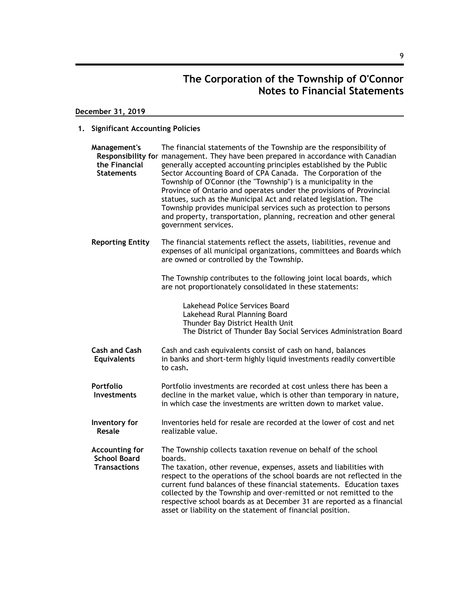**December 31, 2019**

### **1. Significant Accounting Policies**

| Management's<br>the Financial<br><b>Statements</b>                  | The financial statements of the Township are the responsibility of<br>Responsibility for management. They have been prepared in accordance with Canadian<br>generally accepted accounting principles established by the Public<br>Sector Accounting Board of CPA Canada. The Corporation of the<br>Township of O'Connor (the "Township") is a municipality in the<br>Province of Ontario and operates under the provisions of Provincial<br>statues, such as the Municipal Act and related legislation. The<br>Township provides municipal services such as protection to persons<br>and property, transportation, planning, recreation and other general<br>government services. |
|---------------------------------------------------------------------|-----------------------------------------------------------------------------------------------------------------------------------------------------------------------------------------------------------------------------------------------------------------------------------------------------------------------------------------------------------------------------------------------------------------------------------------------------------------------------------------------------------------------------------------------------------------------------------------------------------------------------------------------------------------------------------|
| <b>Reporting Entity</b>                                             | The financial statements reflect the assets, liabilities, revenue and<br>expenses of all municipal organizations, committees and Boards which<br>are owned or controlled by the Township.                                                                                                                                                                                                                                                                                                                                                                                                                                                                                         |
|                                                                     | The Township contributes to the following joint local boards, which<br>are not proportionately consolidated in these statements:                                                                                                                                                                                                                                                                                                                                                                                                                                                                                                                                                  |
|                                                                     | Lakehead Police Services Board<br>Lakehead Rural Planning Board<br>Thunder Bay District Health Unit<br>The District of Thunder Bay Social Services Administration Board                                                                                                                                                                                                                                                                                                                                                                                                                                                                                                           |
| <b>Cash and Cash</b><br><b>Equivalents</b>                          | Cash and cash equivalents consist of cash on hand, balances<br>in banks and short-term highly liquid investments readily convertible<br>to cash.                                                                                                                                                                                                                                                                                                                                                                                                                                                                                                                                  |
| Portfolio<br><b>Investments</b>                                     | Portfolio investments are recorded at cost unless there has been a<br>decline in the market value, which is other than temporary in nature,<br>in which case the investments are written down to market value.                                                                                                                                                                                                                                                                                                                                                                                                                                                                    |
| Inventory for<br>Resale                                             | Inventories held for resale are recorded at the lower of cost and net<br>realizable value.                                                                                                                                                                                                                                                                                                                                                                                                                                                                                                                                                                                        |
| <b>Accounting for</b><br><b>School Board</b><br><b>Transactions</b> | The Township collects taxation revenue on behalf of the school<br>boards.<br>The taxation, other revenue, expenses, assets and liabilities with<br>respect to the operations of the school boards are not reflected in the<br>current fund balances of these financial statements. Education taxes<br>collected by the Township and over-remitted or not remitted to the<br>respective school boards as at December 31 are reported as a financial<br>asset or liability on the statement of financial position.                                                                                                                                                                  |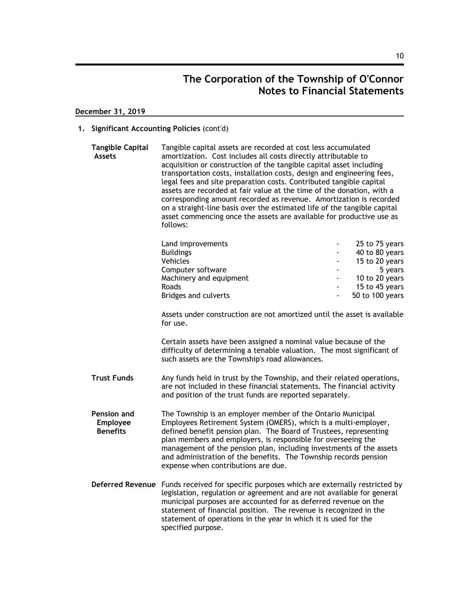### **December 31, 2019**

### **1. Significant Accounting Policies** (cont'd)

| <b>Tangible Capital</b><br><b>Assets</b>   | Tangible capital assets are recorded at cost less accumulated<br>amortization. Cost includes all costs directly attributable to<br>acquisition or construction of the tangible capital asset including<br>transportation costs, installation costs, design and engineering fees,<br>legal fees and site preparation costs. Contributed tangible capital<br>assets are recorded at fair value at the time of the donation, with a<br>corresponding amount recorded as revenue. Amortization is recorded<br>on a straight-line basis over the estimated life of the tangible capital<br>asset commencing once the assets are available for productive use as<br>follows: |                                                                                                                                                                                                                        |                                                                                                                      |  |  |  |
|--------------------------------------------|------------------------------------------------------------------------------------------------------------------------------------------------------------------------------------------------------------------------------------------------------------------------------------------------------------------------------------------------------------------------------------------------------------------------------------------------------------------------------------------------------------------------------------------------------------------------------------------------------------------------------------------------------------------------|------------------------------------------------------------------------------------------------------------------------------------------------------------------------------------------------------------------------|----------------------------------------------------------------------------------------------------------------------|--|--|--|
|                                            | Land improvements<br><b>Buildings</b><br><b>Vehicles</b><br>Computer software<br>Machinery and equipment<br>Roads<br>Bridges and culverts                                                                                                                                                                                                                                                                                                                                                                                                                                                                                                                              | $\blacksquare$<br>$\blacksquare$                                                                                                                                                                                       | 25 to 75 years<br>40 to 80 years<br>15 to 20 years<br>5 years<br>10 to 20 years<br>15 to 45 years<br>50 to 100 years |  |  |  |
|                                            | for use.<br>such assets are the Township's road allowances.                                                                                                                                                                                                                                                                                                                                                                                                                                                                                                                                                                                                            | Assets under construction are not amortized until the asset is available<br>Certain assets have been assigned a nominal value because of the<br>difficulty of determining a tenable valuation. The most significant of |                                                                                                                      |  |  |  |
| <b>Trust Funds</b>                         | Any funds held in trust by the Township, and their related operations,<br>are not included in these financial statements. The financial activity<br>and position of the trust funds are reported separately.                                                                                                                                                                                                                                                                                                                                                                                                                                                           |                                                                                                                                                                                                                        |                                                                                                                      |  |  |  |
| Pension and<br>Employee<br><b>Benefits</b> | The Township is an employer member of the Ontario Municipal<br>Employees Retirement System (OMERS), which is a multi-employer,<br>defined benefit pension plan. The Board of Trustees, representing<br>plan members and employers, is responsible for overseeing the<br>management of the pension plan, including investments of the assets<br>and administration of the benefits. The Township records pension<br>expense when contributions are due.                                                                                                                                                                                                                 |                                                                                                                                                                                                                        |                                                                                                                      |  |  |  |
|                                            | Deferred Revenue Funds received for specific purposes which are externally restricted by<br>legislation, regulation or agreement and are not available for general<br>municipal purposes are accounted for as deferred revenue on the<br>statement of financial position. The revenue is recognized in the<br>statement of operations in the year in which it is used for the                                                                                                                                                                                                                                                                                          |                                                                                                                                                                                                                        |                                                                                                                      |  |  |  |

specified purpose.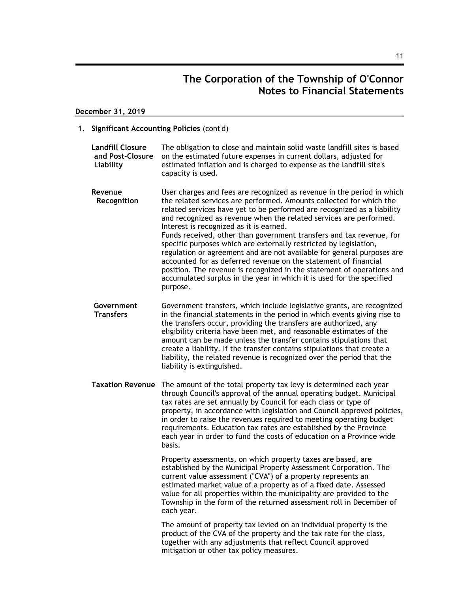## **December 31, 2019**

### **1. Significant Accounting Policies** (cont'd)

| <b>Landfill Closure</b><br>and Post-Closure<br>Liability | The obligation to close and maintain solid waste landfill sites is based<br>on the estimated future expenses in current dollars, adjusted for<br>estimated inflation and is charged to expense as the landfill site's<br>capacity is used.                                                                                                                                                                                                                                                                                                                                                                                                                                                                                                                                                         |
|----------------------------------------------------------|----------------------------------------------------------------------------------------------------------------------------------------------------------------------------------------------------------------------------------------------------------------------------------------------------------------------------------------------------------------------------------------------------------------------------------------------------------------------------------------------------------------------------------------------------------------------------------------------------------------------------------------------------------------------------------------------------------------------------------------------------------------------------------------------------|
| Revenue<br>Recognition                                   | User charges and fees are recognized as revenue in the period in which<br>the related services are performed. Amounts collected for which the<br>related services have yet to be performed are recognized as a liability<br>and recognized as revenue when the related services are performed.<br>Interest is recognized as it is earned.<br>Funds received, other than government transfers and tax revenue, for<br>specific purposes which are externally restricted by legislation,<br>regulation or agreement and are not available for general purposes are<br>accounted for as deferred revenue on the statement of financial<br>position. The revenue is recognized in the statement of operations and<br>accumulated surplus in the year in which it is used for the specified<br>purpose. |
| Government<br><b>Transfers</b>                           | Government transfers, which include legislative grants, are recognized<br>in the financial statements in the period in which events giving rise to<br>the transfers occur, providing the transfers are authorized, any<br>eligibility criteria have been met, and reasonable estimates of the<br>amount can be made unless the transfer contains stipulations that<br>create a liability. If the transfer contains stipulations that create a<br>liability, the related revenue is recognized over the period that the<br>liability is extinguished.                                                                                                                                                                                                                                               |
| <b>Taxation Revenue</b>                                  | The amount of the total property tax levy is determined each year<br>through Council's approval of the annual operating budget. Municipal<br>tax rates are set annually by Council for each class or type of<br>property, in accordance with legislation and Council approved policies,<br>in order to raise the revenues required to meeting operating budget<br>requirements. Education tax rates are established by the Province<br>each year in order to fund the costs of education on a Province wide<br>basis.                                                                                                                                                                                                                                                                              |
|                                                          | Property assessments, on which property taxes are based, are<br>established by the Municipal Property Assessment Corporation. The<br>current value assessment ("CVA") of a property represents an<br>estimated market value of a property as of a fixed date. Assessed<br>value for all properties within the municipality are provided to the<br>Township in the form of the returned assessment roll in December of<br>each year.                                                                                                                                                                                                                                                                                                                                                                |
|                                                          | The amount of property tax levied on an individual property is the<br>product of the CVA of the property and the tax rate for the class,<br>together with any adjustments that reflect Council approved<br>mitigation or other tax policy measures.                                                                                                                                                                                                                                                                                                                                                                                                                                                                                                                                                |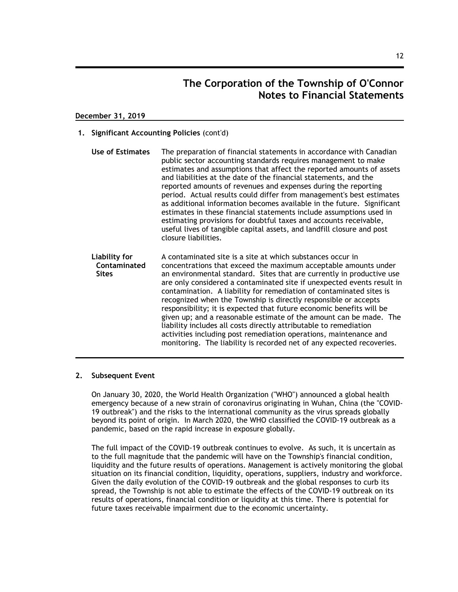### **December 31, 2019**

**1. Significant Accounting Policies** (cont'd)

| Use of Estimates                              | The preparation of financial statements in accordance with Canadian<br>public sector accounting standards requires management to make<br>estimates and assumptions that affect the reported amounts of assets<br>and liabilities at the date of the financial statements, and the<br>reported amounts of revenues and expenses during the reporting<br>period. Actual results could differ from management's best estimates<br>as additional information becomes available in the future. Significant<br>estimates in these financial statements include assumptions used in<br>estimating provisions for doubtful taxes and accounts receivable,<br>useful lives of tangible capital assets, and landfill closure and post<br>closure liabilities.                                         |
|-----------------------------------------------|---------------------------------------------------------------------------------------------------------------------------------------------------------------------------------------------------------------------------------------------------------------------------------------------------------------------------------------------------------------------------------------------------------------------------------------------------------------------------------------------------------------------------------------------------------------------------------------------------------------------------------------------------------------------------------------------------------------------------------------------------------------------------------------------|
| Liability for<br>Contaminated<br><b>Sites</b> | A contaminated site is a site at which substances occur in<br>concentrations that exceed the maximum acceptable amounts under<br>an environmental standard. Sites that are currently in productive use<br>are only considered a contaminated site if unexpected events result in<br>contamination. A liability for remediation of contaminated sites is<br>recognized when the Township is directly responsible or accepts<br>responsibility; it is expected that future economic benefits will be<br>given up; and a reasonable estimate of the amount can be made. The<br>liability includes all costs directly attributable to remediation<br>activities including post remediation operations, maintenance and<br>monitoring. The liability is recorded net of any expected recoveries. |

### **2. Subsequent Event**

On January 30, 2020, the World Health Organization ("WHO") announced a global health emergency because of a new strain of coronavirus originating in Wuhan, China (the "COVID-19 outbreak") and the risks to the international community as the virus spreads globally beyond its point of origin. In March 2020, the WHO classified the COVID-19 outbreak as a pandemic, based on the rapid increase in exposure globally.

The full impact of the COVID-19 outbreak continues to evolve. As such, it is uncertain as to the full magnitude that the pandemic will have on the Township's financial condition, liquidity and the future results of operations. Management is actively monitoring the global situation on its financial condition, liquidity, operations, suppliers, industry and workforce. Given the daily evolution of the COVID-19 outbreak and the global responses to curb its spread, the Township is not able to estimate the effects of the COVID-19 outbreak on its results of operations, financial condition or liquidity at this time. There is potential for future taxes receivable impairment due to the economic uncertainty.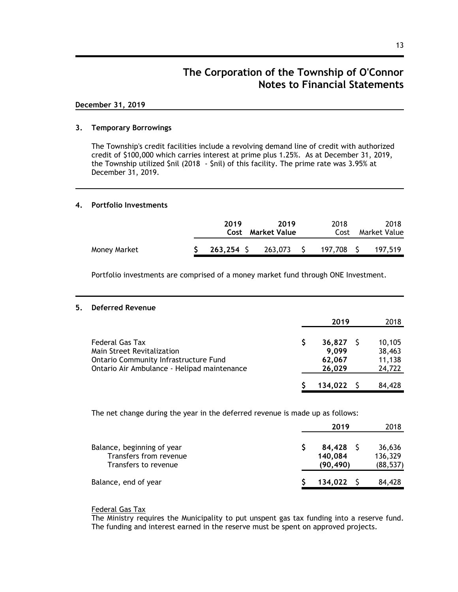#### **December 31, 2019**

#### **3. Temporary Borrowings**

The Township's credit facilities include a revolving demand line of credit with authorized credit of \$100,000 which carries interest at prime plus 1.25%. As at December 31, 2019, the Township utilized \$nil (2018 - \$nil) of this facility. The prime rate was 3.95% at December 31, 2019.

#### **4. Portfolio Investments**

|              | 2019         | Cost Market Value | 2019 | 2018                  | 2018<br>Cost Market Value |
|--------------|--------------|-------------------|------|-----------------------|---------------------------|
| Money Market | $263,254$ \$ |                   |      | 263,073 \$ 197,708 \$ | 197.519                   |

Portfolio investments are comprised of a money market fund through ONE Investment.

### **5. Deferred Revenue**

|                                                                                                                                              | 2019                                     | 2018                                 |
|----------------------------------------------------------------------------------------------------------------------------------------------|------------------------------------------|--------------------------------------|
| Federal Gas Tax<br>Main Street Revitalization<br><b>Ontario Community Infrastructure Fund</b><br>Ontario Air Ambulance - Helipad maintenance | $36,827$ \$<br>9,099<br>62,067<br>26,029 | 10,105<br>38,463<br>11,138<br>24,722 |
|                                                                                                                                              | $134,022$ \$                             | 84,428                               |

The net change during the year in the deferred revenue is made up as follows:

|                                                                              | 2019                              | 2018                           |
|------------------------------------------------------------------------------|-----------------------------------|--------------------------------|
| Balance, beginning of year<br>Transfers from revenue<br>Transfers to revenue | 84,428 \$<br>140,084<br>(90, 490) | 36,636<br>136,329<br>(88, 537) |
| Balance, end of year                                                         | 134,022                           | 84,428                         |

### Federal Gas Tax

The Ministry requires the Municipality to put unspent gas tax funding into a reserve fund. The funding and interest earned in the reserve must be spent on approved projects.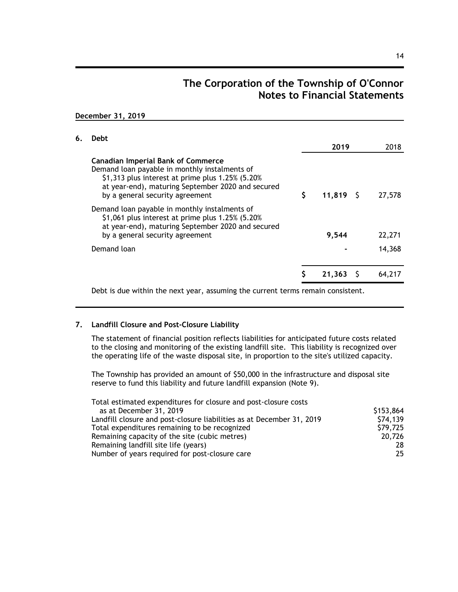### **December 31, 2019**

| 6. | Debt                                                                                                                                                                                                                                    |   |             |        |
|----|-----------------------------------------------------------------------------------------------------------------------------------------------------------------------------------------------------------------------------------------|---|-------------|--------|
|    |                                                                                                                                                                                                                                         |   | 2019        | 2018   |
|    | <b>Canadian Imperial Bank of Commerce</b><br>Demand loan payable in monthly instalments of<br>\$1,313 plus interest at prime plus 1.25% (5.20%)<br>at year-end), maturing September 2020 and secured<br>by a general security agreement | S | $11,819$ \$ | 27,578 |
|    | Demand loan payable in monthly instalments of<br>\$1,061 plus interest at prime plus 1.25% (5.20%)<br>at year-end), maturing September 2020 and secured<br>by a general security agreement                                              |   | 9,544       | 22,271 |
|    | Demand loan                                                                                                                                                                                                                             |   |             | 14,368 |
|    |                                                                                                                                                                                                                                         |   | 21,363      | 64.217 |

Debt is due within the next year, assuming the current terms remain consistent.

### **7. Landfill Closure and Post-Closure Liability**

The statement of financial position reflects liabilities for anticipated future costs related to the closing and monitoring of the existing landfill site. This liability is recognized over the operating life of the waste disposal site, in proportion to the site's utilized capacity.

The Township has provided an amount of \$50,000 in the infrastructure and disposal site reserve to fund this liability and future landfill expansion (Note 9).

| Total estimated expenditures for closure and post-closure costs       |           |
|-----------------------------------------------------------------------|-----------|
| as at December 31, 2019                                               | \$153,864 |
| Landfill closure and post-closure liabilities as at December 31, 2019 | \$74,139  |
| Total expenditures remaining to be recognized                         | \$79,725  |
| Remaining capacity of the site (cubic metres)                         | 20,726    |
| Remaining landfill site life (years)                                  | 28        |
| Number of years required for post-closure care                        | 25        |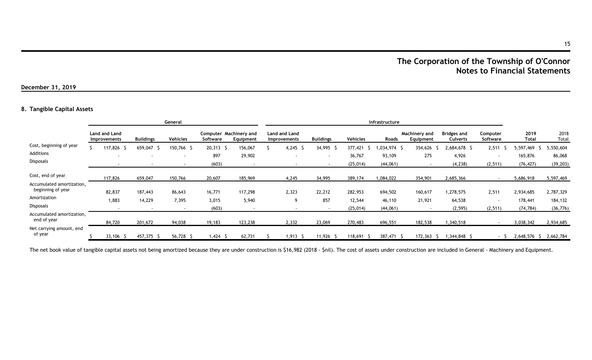### **December 31, 2019**

### **8. Tangible Capital Assets**

|                                                |                                             |                          | General                  |                                    |           |                                             |                                    |                 | Infrastructure |                                   |                                |                      |                      |               |
|------------------------------------------------|---------------------------------------------|--------------------------|--------------------------|------------------------------------|-----------|---------------------------------------------|------------------------------------|-----------------|----------------|-----------------------------------|--------------------------------|----------------------|----------------------|---------------|
|                                                | <b>Land and Land</b><br><b>Improvements</b> | <b>Buildings</b>         | <b>Vehicles</b>          | Computer Machinery and<br>Software | Equipment | <b>Land and Land</b><br><b>Improvements</b> | <b>Buildings</b>                   | <b>Vehicles</b> | Roads          | Machinery and<br><b>Equipment</b> | <b>Bridges and</b><br>Culverts | Computer<br>Software | 2019<br><b>Total</b> | 2018<br>Total |
| Cost, beginning of year                        | 117,826                                     | 659,047                  | 150,766 \$               | $20,313$ \$                        | 156,067   | 4,245                                       | 34,995<br>-5                       | 377,421         | 034,974 \$     | 354,626                           | 2,684,678 \$                   | 2,511                | ,597,469             | 5,550,604     |
| Additions                                      |                                             | $\overline{\phantom{a}}$ | $\overline{\phantom{a}}$ | 897                                | 29,902    |                                             | . .                                | 36,767          | 93,109         | 275                               | 4,926                          |                      | 165,876              | 86,068        |
| Disposals                                      |                                             | $\sim$                   |                          | (603)                              |           |                                             |                                    | (25, 014)       | (44, 061)      |                                   | (4, 238)                       | (2, 511)             | (76, 427)            | (39, 203)     |
| Cost, end of year                              | 117,826                                     | 659,047                  | 150,766                  | 20,607                             | 185,969   | 4,245                                       | 34,995                             | 389,174         | 1,084,022      | 354,901                           | 2,685,366                      |                      | 5,686,918            | 5,597,469     |
| Accumulated amortization,<br>beginning of year | 82,837                                      | 187,443                  | 86,643                   | 16,771                             | 117,298   | 2,323                                       | 22,212                             | 282,953         | 694,502        | 160,617                           | 1,278,575                      | 2,511                | 2,934,685            | 2,787,329     |
| Amortization                                   | 1,883                                       | 14,229                   | 7,395                    | 3,015                              | 5,940     |                                             | 857                                | 12,544          | 46,110         | 21,921                            | 64,538                         |                      | 178,441              | 184,132       |
| Disposals                                      |                                             |                          |                          | (603)                              |           |                                             |                                    | (25, 014)       | (44, 061)      |                                   | (2, 595)                       | (2, 511)             | (74, 784)            | (36, 776)     |
| Accumulated amortization,<br>end of year       | 84,720                                      | 201,672                  | 94,038                   | 19,183                             | 123,238   | 2,332                                       | 23,069                             | 270,483         | 696,551        | 182,538                           | 1,340,518                      |                      | 3,038,342            | 2,934,685     |
| Net carrying amount, end<br>of year            | 33,106                                      | 457,375                  | 56,728 \$                | $1,424$ \$                         | 62,731    | 1,913 \$                                    | 11,926<br>$\overline{\phantom{a}}$ | 118,691         | 387,471 \$     | 172,363<br>-5                     | 344,848,١                      | $\sim$ 5             | 2,648,576            | 2,662,784     |
|                                                |                                             |                          |                          |                                    |           |                                             |                                    |                 |                |                                   |                                |                      |                      |               |

The net book value of tangible capital assets not being amortized because they are under construction is \$16,982 (2018 - \$nil). The cost of assets under construction are included in General - Machinery and Equipment.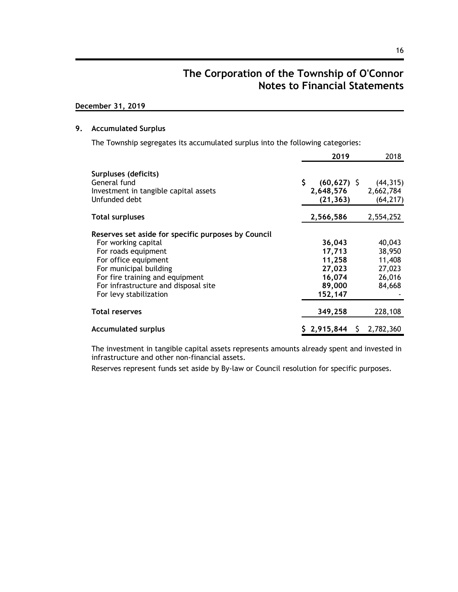### **December 31, 2019**

### **9. Accumulated Surplus**

The Township segregates its accumulated surplus into the following categories:

|                                                                                                                                                                                                                                                          | 2019                                                                | 2018                                                     |
|----------------------------------------------------------------------------------------------------------------------------------------------------------------------------------------------------------------------------------------------------------|---------------------------------------------------------------------|----------------------------------------------------------|
| Surpluses (deficits)<br>General fund<br>Investment in tangible capital assets<br>Unfunded debt                                                                                                                                                           | S<br>$(60, 627)$ \$<br>2,648,576<br>(21, 363)                       | (44, 315)<br>2,662,784<br>(64, 217)                      |
| <b>Total surpluses</b>                                                                                                                                                                                                                                   | 2,566,586                                                           | 2,554,252                                                |
| Reserves set aside for specific purposes by Council<br>For working capital<br>For roads equipment<br>For office equipment<br>For municipal building<br>For fire training and equipment<br>For infrastructure and disposal site<br>For levy stabilization | 36,043<br>17,713<br>11,258<br>27,023<br>16,074<br>89,000<br>152,147 | 40,043<br>38,950<br>11,408<br>27,023<br>26,016<br>84,668 |
| <b>Total reserves</b>                                                                                                                                                                                                                                    | 349,258                                                             | 228,108                                                  |
| <b>Accumulated surplus</b>                                                                                                                                                                                                                               | \$2,915,844<br>S.                                                   | 2,782,360                                                |

The investment in tangible capital assets represents amounts already spent and invested in infrastructure and other non-financial assets.

Reserves represent funds set aside by By-law or Council resolution for specific purposes.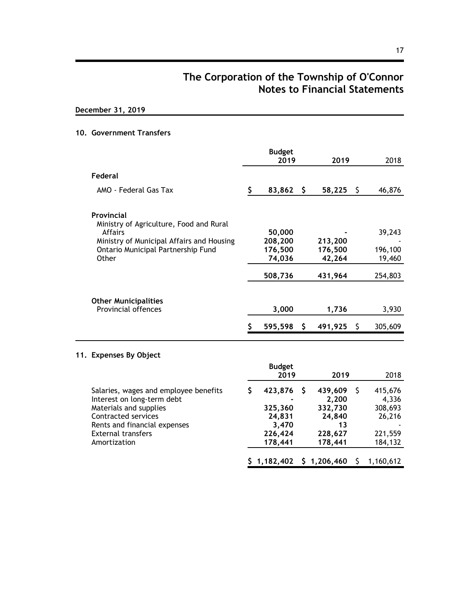### **December 31, 2019**

### **10. Government Transfers**

|                                                                                                                                                                            | <b>Budget</b><br>2019                  | 2019 | 2018                         |     |                             |
|----------------------------------------------------------------------------------------------------------------------------------------------------------------------------|----------------------------------------|------|------------------------------|-----|-----------------------------|
| Federal                                                                                                                                                                    |                                        |      |                              |     |                             |
| AMO - Federal Gas Tax                                                                                                                                                      | \$<br>83,862                           | - S  | 58,225                       | - S | 46,876                      |
| Provincial<br>Ministry of Agriculture, Food and Rural<br><b>Affairs</b><br>Ministry of Municipal Affairs and Housing<br><b>Ontario Municipal Partnership Fund</b><br>Other | 50,000<br>208,200<br>176,500<br>74,036 |      | 213,200<br>176,500<br>42,264 |     | 39,243<br>196,100<br>19,460 |
|                                                                                                                                                                            | 508,736                                |      | 431,964                      |     | 254,803                     |
| <b>Other Municipalities</b><br>Provincial offences                                                                                                                         | 3,000                                  |      | 1,736                        |     | 3,930                       |
|                                                                                                                                                                            | 595,598                                |      | 491,925                      | S   | 305,609                     |
|                                                                                                                                                                            |                                        |      |                              |     |                             |

## **11. Expenses By Object**

|                                                                                                                                                                                                   | <b>Budget</b><br>2019                                                         | 2019                                                              | 2018                                                        |
|---------------------------------------------------------------------------------------------------------------------------------------------------------------------------------------------------|-------------------------------------------------------------------------------|-------------------------------------------------------------------|-------------------------------------------------------------|
| Salaries, wages and employee benefits<br>Interest on long-term debt<br>Materials and supplies<br>Contracted services<br>Rents and financial expenses<br><b>External transfers</b><br>Amortization | 423,876<br>$\blacksquare$<br>325,360<br>24,831<br>3,470<br>226,424<br>178,441 | 439,609<br>2,200<br>332,730<br>24,840<br>13<br>228,627<br>178,441 | 415,676<br>4,336<br>308,693<br>26,216<br>221,559<br>184,132 |
|                                                                                                                                                                                                   | \$1,182,402                                                                   | \$1,206,460                                                       | 1,160,612                                                   |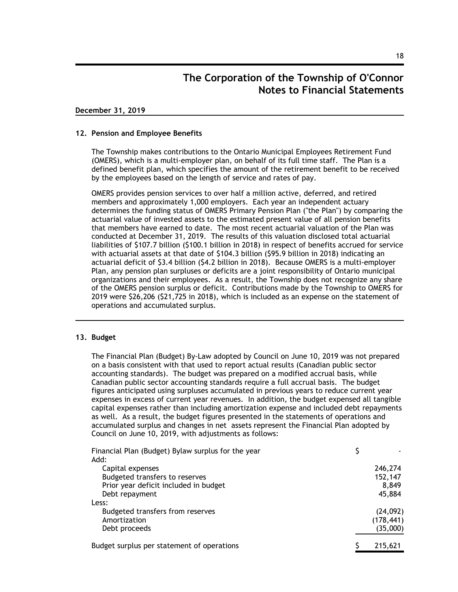### **December 31, 2019**

### **12. Pension and Employee Benefits**

The Township makes contributions to the Ontario Municipal Employees Retirement Fund (OMERS), which is a multi-employer plan, on behalf of its full time staff. The Plan is a defined benefit plan, which specifies the amount of the retirement benefit to be received by the employees based on the length of service and rates of pay.

OMERS provides pension services to over half a million active, deferred, and retired members and approximately 1,000 employers. Each year an independent actuary determines the funding status of OMERS Primary Pension Plan ("the Plan") by comparing the actuarial value of invested assets to the estimated present value of all pension benefits that members have earned to date. The most recent actuarial valuation of the Plan was conducted at December 31, 2019. The results of this valuation disclosed total actuarial liabilities of \$107.7 billion (\$100.1 billion in 2018) in respect of benefits accrued for service with actuarial assets at that date of \$104.3 billion (\$95.9 billion in 2018) indicating an actuarial deficit of \$3.4 billion (\$4.2 billion in 2018). Because OMERS is a multi-employer Plan, any pension plan surpluses or deficits are a joint responsibility of Ontario municipal organizations and their employees. As a result, the Township does not recognize any share of the OMERS pension surplus or deficit. Contributions made by the Township to OMERS for 2019 were \$26,206 (\$21,725 in 2018), which is included as an expense on the statement of operations and accumulated surplus.

#### **13. Budget**

The Financial Plan (Budget) By-Law adopted by Council on June 10, 2019 was not prepared on a basis consistent with that used to report actual results (Canadian public sector accounting standards). The budget was prepared on a modified accrual basis, while Canadian public sector accounting standards require a full accrual basis. The budget figures anticipated using surpluses accumulated in previous years to reduce current year expenses in excess of current year revenues. In addition, the budget expensed all tangible capital expenses rather than including amortization expense and included debt repayments as well. As a result, the budget figures presented in the statements of operations and accumulated surplus and changes in net assets represent the Financial Plan adopted by Council on June 10, 2019, with adjustments as follows:

| Financial Plan (Budget) Bylaw surplus for the year |            |
|----------------------------------------------------|------------|
| Add:                                               |            |
| Capital expenses                                   | 246,274    |
| Budgeted transfers to reserves                     | 152,147    |
| Prior year deficit included in budget              | 8,849      |
| Debt repayment                                     | 45,884     |
| Less:                                              |            |
| Budgeted transfers from reserves                   | (24,092)   |
| Amortization                                       | (178, 441) |
| Debt proceeds                                      | (35,000)   |
| Budget surplus per statement of operations         | 215,621    |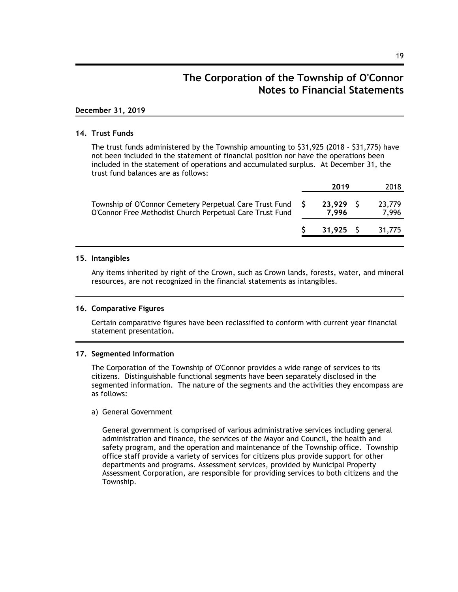### **December 31, 2019**

### **14. Trust Funds**

The trust funds administered by the Township amounting to \$31,925 (2018 - \$31,775) have not been included in the statement of financial position nor have the operations been included in the statement of operations and accumulated surplus. At December 31, the trust fund balances are as follows:

|                                                                                                                        | 2019              | 2018            |
|------------------------------------------------------------------------------------------------------------------------|-------------------|-----------------|
| Township of O'Connor Cemetery Perpetual Care Trust Fund \$<br>O'Connor Free Methodist Church Perpetual Care Trust Fund | 23,929 S<br>7.996 | 23,779<br>7.996 |
|                                                                                                                        | $31,925$ S        | 31.775          |

#### **15. Intangibles**

Any items inherited by right of the Crown, such as Crown lands, forests, water, and mineral resources, are not recognized in the financial statements as intangibles.

### **16. Comparative Figures**

Certain comparative figures have been reclassified to conform with current year financial statement presentation**.**

#### **17. Segmented Information**

The Corporation of the Township of O'Connor provides a wide range of services to its citizens. Distinguishable functional segments have been separately disclosed in the segmented information. The nature of the segments and the activities they encompass are as follows:

### a) General Government

General government is comprised of various administrative services including general administration and finance, the services of the Mayor and Council, the health and safety program, and the operation and maintenance of the Township office. Township office staff provide a variety of services for citizens plus provide support for other departments and programs. Assessment services, provided by Municipal Property Assessment Corporation, are responsible for providing services to both citizens and the Township.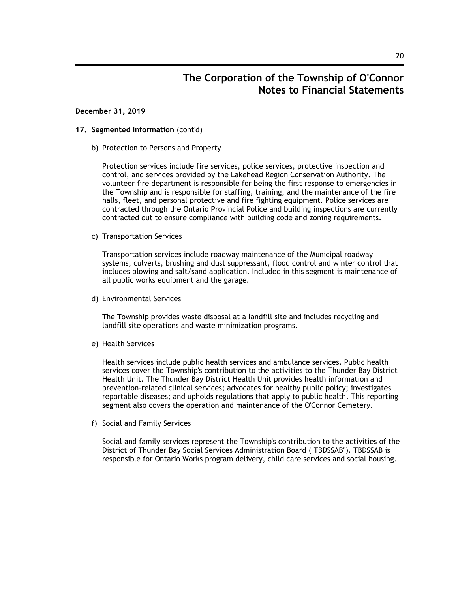#### **December 31, 2019**

#### **17. Segmented Information** (cont'd)

b) Protection to Persons and Property

Protection services include fire services, police services, protective inspection and control, and services provided by the Lakehead Region Conservation Authority. The volunteer fire department is responsible for being the first response to emergencies in the Township and is responsible for staffing, training, and the maintenance of the fire halls, fleet, and personal protective and fire fighting equipment. Police services are contracted through the Ontario Provincial Police and building inspections are currently contracted out to ensure compliance with building code and zoning requirements.

c) Transportation Services

Transportation services include roadway maintenance of the Municipal roadway systems, culverts, brushing and dust suppressant, flood control and winter control that includes plowing and salt/sand application. Included in this segment is maintenance of all public works equipment and the garage.

d) Environmental Services

The Township provides waste disposal at a landfill site and includes recycling and landfill site operations and waste minimization programs.

e) Health Services

Health services include public health services and ambulance services. Public health services cover the Township's contribution to the activities to the Thunder Bay District Health Unit. The Thunder Bay District Health Unit provides health information and prevention-related clinical services; advocates for healthy public policy; investigates reportable diseases; and upholds regulations that apply to public health. This reporting segment also covers the operation and maintenance of the O'Connor Cemetery.

f) Social and Family Services

Social and family services represent the Township's contribution to the activities of the District of Thunder Bay Social Services Administration Board ("TBDSSAB"). TBDSSAB is responsible for Ontario Works program delivery, child care services and social housing.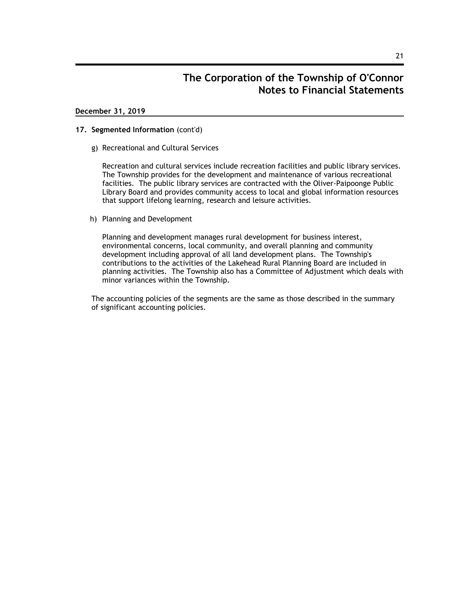### **December 31, 2019**

### **17. Segmented Information** (cont'd)

g) Recreational and Cultural Services

Recreation and cultural services include recreation facilities and public library services. The Township provides for the development and maintenance of various recreational facilities. The public library services are contracted with the Oliver-Paipoonge Public Library Board and provides community access to local and global information resources that support lifelong learning, research and leisure activities.

h) Planning and Development

Planning and development manages rural development for business interest, environmental concerns, local community, and overall planning and community development including approval of all land development plans. The Township's contributions to the activities of the Lakehead Rural Planning Board are included in planning activities. The Township also has a Committee of Adjustment which deals with minor variances within the Township.

The accounting policies of the segments are the same as those described in the summary of significant accounting policies.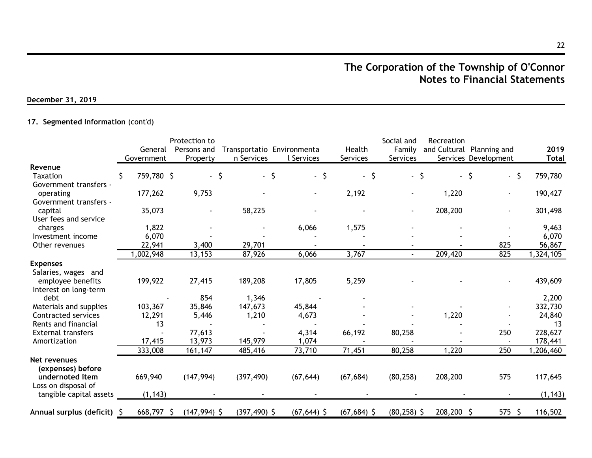### **December 31, 2019**

### **17. Segmented Information** (cont'd)

|                                                                   | General<br>Government | Protection to<br>Persons and<br>Property | n Services      | Transportatio Environmenta<br>l Services | Health<br><b>Services</b> | Social and<br>Family<br>Services | Recreation                  | and Cultural Planning and<br>Services Development | 2019<br><b>Total</b> |
|-------------------------------------------------------------------|-----------------------|------------------------------------------|-----------------|------------------------------------------|---------------------------|----------------------------------|-----------------------------|---------------------------------------------------|----------------------|
| Revenue                                                           |                       |                                          |                 |                                          |                           |                                  |                             |                                                   |                      |
| <b>Taxation</b>                                                   | 759,780 \$            | - \$                                     | $-5$            | $-5$                                     | $-5$                      | $-5$                             | $\mathcal{L}_{\mathcal{A}}$ | S.<br>- \$                                        | 759,780              |
| Government transfers -<br>operating<br>Government transfers -     | 177,262               | 9,753                                    |                 |                                          | 2,192                     |                                  | 1,220                       |                                                   | 190,427              |
| capital<br>User fees and service                                  | 35,073                |                                          | 58,225          |                                          |                           | $\blacksquare$                   | 208,200                     |                                                   | 301,498              |
| charges                                                           | 1,822                 |                                          |                 | 6,066                                    | 1,575                     |                                  |                             |                                                   | 9,463                |
| Investment income                                                 | 6,070                 |                                          |                 |                                          |                           |                                  |                             |                                                   | 6,070                |
| Other revenues                                                    | 22,941                | 3,400                                    | 29,701          |                                          |                           |                                  |                             | 825                                               | 56,867               |
|                                                                   | ,002,948              | 13,153                                   | 87,926          | 6,066                                    | 3,767                     | $\mathbf{r}$                     | 209,420                     | 825                                               | 1,324,105            |
| <b>Expenses</b>                                                   |                       |                                          |                 |                                          |                           |                                  |                             |                                                   |                      |
| Salaries, wages and<br>employee benefits<br>Interest on long-term | 199,922               | 27,415                                   | 189,208         | 17,805                                   | 5,259                     |                                  |                             |                                                   | 439,609              |
| debt                                                              |                       | 854                                      | 1,346           |                                          |                           |                                  |                             |                                                   | 2,200                |
| Materials and supplies                                            | 103,367               | 35,846                                   | 147,673         | 45,844                                   |                           |                                  |                             |                                                   | 332,730              |
| <b>Contracted services</b>                                        | 12,291                | 5,446                                    | 1,210           | 4,673                                    |                           |                                  | 1,220                       |                                                   | 24,840               |
| Rents and financial                                               | 13                    |                                          |                 |                                          |                           |                                  |                             |                                                   | 13                   |
| <b>External transfers</b><br>Amortization                         | 17,415                | 77,613<br>13,973                         | 145,979         | 4,314<br>1,074                           | 66,192                    | 80,258                           |                             | 250                                               | 228,627<br>178,441   |
|                                                                   | 333,008               | 161,147                                  | 485,416         | 73,710                                   | 71,451                    | 80,258                           | 1,220                       | 250                                               | ,206,460             |
| Net revenues<br>(expenses) before                                 |                       |                                          |                 |                                          |                           |                                  |                             |                                                   |                      |
| undernoted item<br>Loss on disposal of                            | 669,940               | (147, 994)                               | (397, 490)      | (67, 644)                                | (67, 684)                 | (80, 258)                        | 208,200                     | 575                                               | 117,645              |
| tangible capital assets                                           | (1, 143)              |                                          |                 |                                          |                           |                                  |                             |                                                   | (1, 143)             |
| Annual surplus (deficit) \$                                       | 668,797 \$            | $(147, 994)$ \$                          | $(397, 490)$ \$ | $(67, 644)$ \$                           | $(67, 684)$ \$            | $(80, 258)$ \$                   | 208,200 \$                  | 575                                               | -S<br>116,502        |